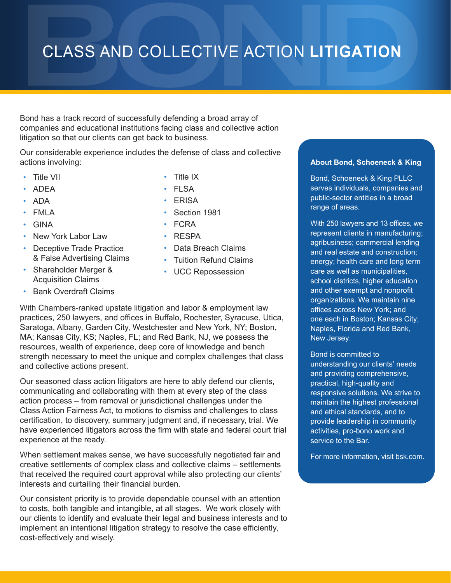# CLASS AND COLLECTIVE ACTION **LITIGATION**

Bond has a track record of successfully defending a broad array of companies and educational institutions facing class and collective action litigation so that our clients can get back to business.

Our considerable experience includes the defense of class and collective actions involving:

- Title VII
- ADEA
- ADA
- FMLA
- GINA
- New York Labor Law
- Deceptive Trade Practice & False Advertising Claims
- Shareholder Merger & Acquisition Claims
- Bank Overdraft Claims
- Title IX
- FLSA
- ERISA
- Section 1981
- FCRA
- RESPA
- Data Breach Claims
- Tuition Refund Claims
- UCC Repossession

With Chambers-ranked upstate litigation and labor & employment law practices, 250 lawyers, and offices in Buffalo, Rochester, Syracuse, Utica, Saratoga, Albany, Garden City, Westchester and New York, NY; Boston, MA; Kansas City, KS; Naples, FL; and Red Bank, NJ, we possess the resources, wealth of experience, deep core of knowledge and bench strength necessary to meet the unique and complex challenges that class and collective actions present.

Our seasoned class action litigators are here to ably defend our clients, communicating and collaborating with them at every step of the class action process – from removal or jurisdictional challenges under the Class Action Fairness Act, to motions to dismiss and challenges to class certification, to discovery, summary judgment and, if necessary, trial. We have experienced litigators across the firm with state and federal court trial experience at the ready.

When settlement makes sense, we have successfully negotiated fair and creative settlements of complex class and collective claims – settlements that received the required court approval while also protecting our clients' interests and curtailing their financial burden.

Our consistent priority is to provide dependable counsel with an attention to costs, both tangible and intangible, at all stages. We work closely with our clients to identify and evaluate their legal and business interests and to implement an intentional litigation strategy to resolve the case efficiently, cost-effectively and wisely.

### **About Bond, Schoeneck & King**

Bond, Schoeneck & King PLLC serves individuals, companies and public-sector entities in a broad range of areas.

With 250 lawyers and 13 offices, we represent clients in manufacturing; agribusiness; commercial lending and real estate and construction; energy; health care and long term care as well as municipalities, school districts, higher education and other exempt and nonprofit organizations. We maintain nine offices across New York; and one each in Boston; Kansas City; Naples, Florida and Red Bank, New Jersey.

Bond is committed to understanding our clients' needs and providing comprehensive, practical, high-quality and responsive solutions. We strive to maintain the highest professional and ethical standards, and to provide leadership in community activities, pro-bono work and service to the Bar.

For more information, visit bsk.com.